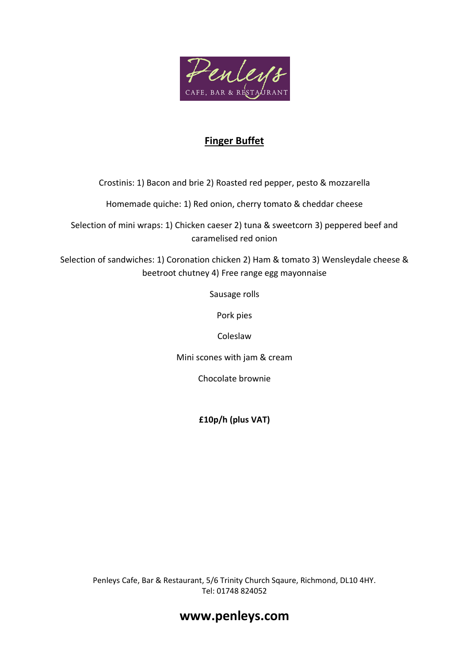

## **Finger Buffet**

Crostinis: 1) Bacon and brie 2) Roasted red pepper, pesto & mozzarella

Homemade quiche: 1) Red onion, cherry tomato & cheddar cheese

Selection of mini wraps: 1) Chicken caeser 2) tuna & sweetcorn 3) peppered beef and caramelised red onion

Selection of sandwiches: 1) Coronation chicken 2) Ham & tomato 3) Wensleydale cheese & beetroot chutney 4) Free range egg mayonnaise

Sausage rolls

Pork pies

Coleslaw

Mini scones with jam & cream

Chocolate brownie

**£10p/h (plus VAT)**

Penleys Cafe, Bar & Restaurant, 5/6 Trinity Church Sqaure, Richmond, DL10 4HY. Tel: 01748 824052

## **www.penleys.com**